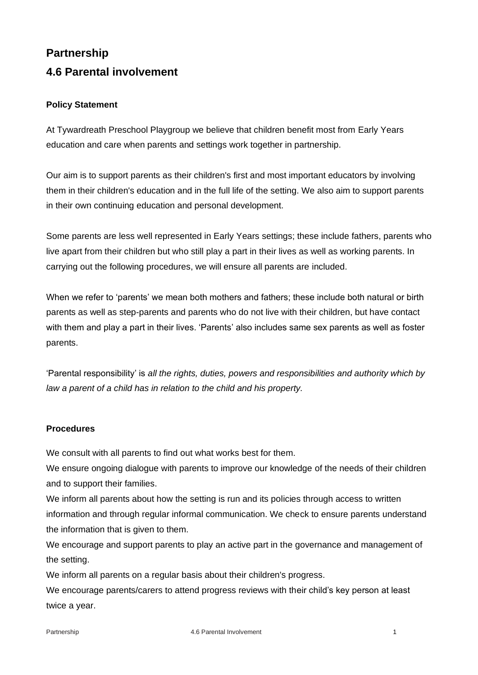## **Partnership 4.6 Parental involvement**

## **Policy Statement**

At Tywardreath Preschool Playgroup we believe that children benefit most from Early Years education and care when parents and settings work together in partnership.

Our aim is to support parents as their children's first and most important educators by involving them in their children's education and in the full life of the setting. We also aim to support parents in their own continuing education and personal development.

Some parents are less well represented in Early Years settings; these include fathers, parents who live apart from their children but who still play a part in their lives as well as working parents. In carrying out the following procedures, we will ensure all parents are included.

When we refer to 'parents' we mean both mothers and fathers; these include both natural or birth parents as well as step-parents and parents who do not live with their children, but have contact with them and play a part in their lives. 'Parents' also includes same sex parents as well as foster parents.

'Parental responsibility' is *all the rights, duties, powers and responsibilities and authority which by*  law a parent of a child has in relation to the child and his property.

## **Procedures**

We consult with all parents to find out what works best for them.

We ensure ongoing dialogue with parents to improve our knowledge of the needs of their children and to support their families.

We inform all parents about how the setting is run and its policies through access to written information and through regular informal communication. We check to ensure parents understand the information that is given to them.

We encourage and support parents to play an active part in the governance and management of the setting.

We inform all parents on a regular basis about their children's progress.

We encourage parents/carers to attend progress reviews with their child's key person at least twice a year.